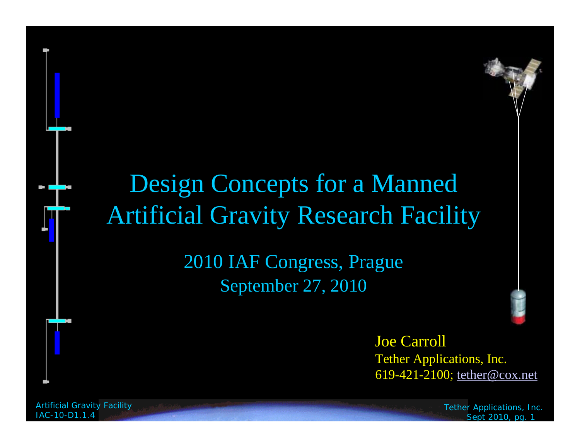## Design Concepts for a Manned Artificial Gravity Research Facility

2010 IAF Congress, Prague September 27, 2010



Joe Carroll Tether Applications, Inc. 619-421-2100; tether@cox.net

*Artificial Gravity Facility IAC-10-D1.1.4*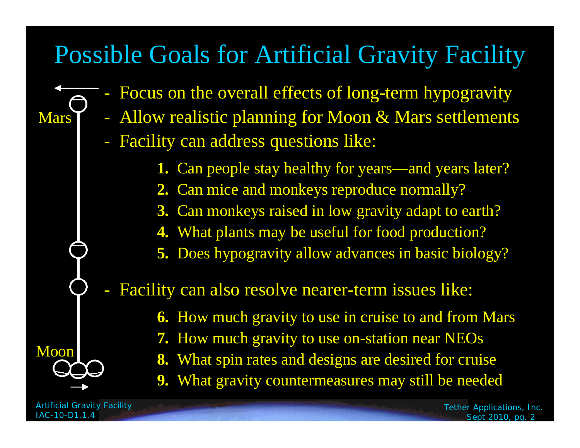## Possible Goals for Artificial Gravity Facility

- Focus on the overall effects of long-term hypogravity
- Allow realistic planning for Moon & Mars settlements
	- Facility can address questions like:
		- **1.** Can people stay healthy for years—and years later?
		- **2.** Can mice and monkeys reproduce normally?
		- **3.** Can monkeys raised in low gravity adapt to earth?
		- **4.** What plants may be useful for food production?
		- **5.** Does hypogravity allow advances in basic biology?

Facility can also resolve nearer-term issues like:

- **6.** How much gravity to use in cruise to and from Mars
- **7.** How much gravity to use on-station near NEOs
- **8.** What spin rates and designs are desired for cruise
- **9.** What gravity countermeasures may still be needed

*Artificial Gravity Facility IAC-10-D1.1.4*

Moon

**Mars**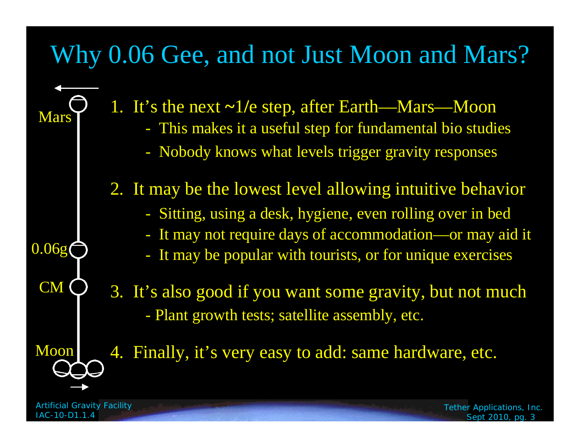## Why 0.06 Gee, and not Just Moon and Mars?

1. It's the next **~**1**/**e step, after Earth—Mars—Moon - This makes it a useful step for fundamental bio studies - Nobody knows what levels trigger gravity responses 2. It may be the lowest level allowing intuitive behavior - Sitting, using a desk, hygiene, even rolling over in bed - It may not require days of accommodation—or may aid it - It may be popular with tourists, or for unique exercises 3. It's also good if you want some gravity, but not much - Plant growth tests; satellite assembly, etc. 4. Finally, it's very easy to add: same hardware, etc. Mars Moon 0.06g CM

*Artificial Gravity Facility IAC-10-D1.1.4*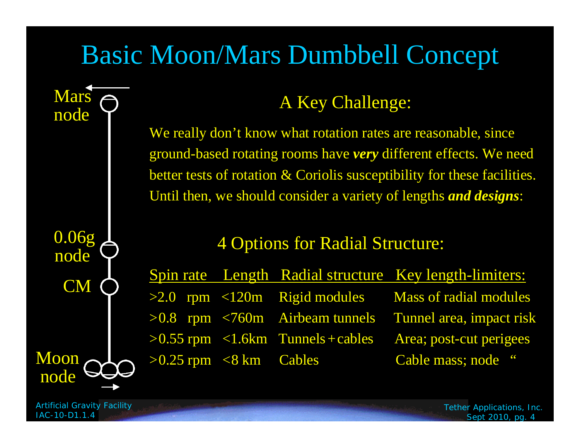# Basic Moon/Mars Dumbbell Concept

0.06g node CM Moonnode

**Mars** 

node

#### A Key Challenge:

We really don't know what rotation rates are reasonable, since ground-based rotating rooms have *very* different effects. We need better tests of rotation & Coriolis susceptibility for these facilities. Until then, we should consider a variety of lengths *and designs*:

#### 4 Options for Radial Structure:

|                                                   |                                         | Spin rate Length Radial structure Key length-limiters:           |
|---------------------------------------------------|-----------------------------------------|------------------------------------------------------------------|
|                                                   |                                         | $>2.0$ rpm $< 120m$ Rigid modules Mass of radial modules         |
|                                                   |                                         | $>0.8$ rpm $\leq 760$ m Airbeam tunnels Tunnel area, impact risk |
|                                                   | $>0.55$ rpm $< 1.6$ km Tunnels + cables | Area; post-cut perigees                                          |
| $>0.25$ rpm $\langle 8 \text{ km} \rangle$ Cables |                                         | Cable mass; node "                                               |

*Artificial Gravity Facility IAC-10-D1.1.4*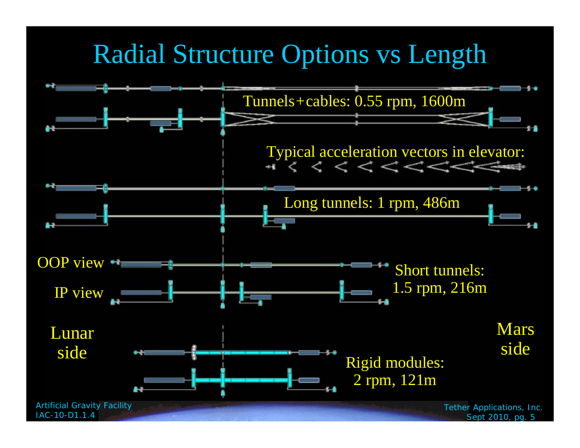## Radial Structure Options vs Length

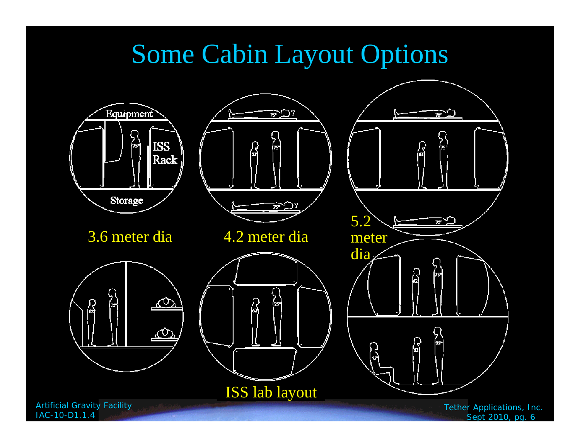# Some Cabin Layout Options



*Sept 2010, pg. 6*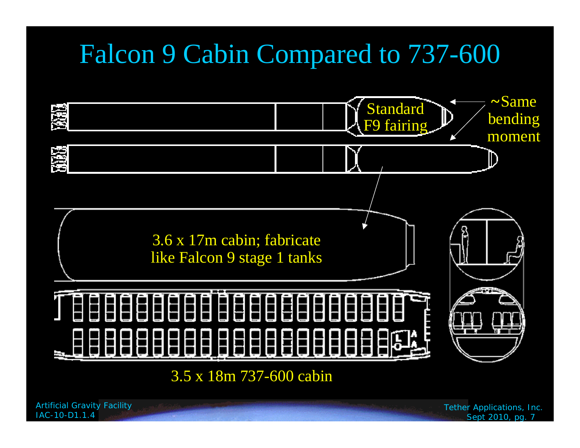# Falcon 9 Cabin Compared to 737-600



3.5 x 18m 737-600 cabin

*Artificial Gravity Facility IAC-10-D1.1.4*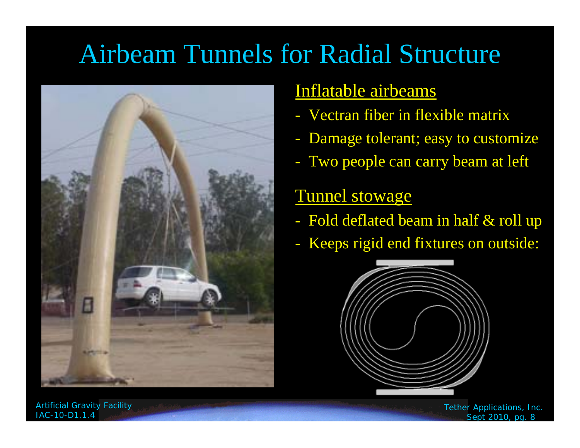# Airbeam Tunnels for Radial Structure



#### Inflatable airbeams

- Vectran fiber in flexible matrix
- Damage tolerant; easy to customize
- Two people can carry beam at left

#### Tunnel stowage

- Fold deflated beam in half & roll up
- -Keeps rigid end fixtures on outside:



*Artificial Gravity Facility IAC-10-D1.1.4*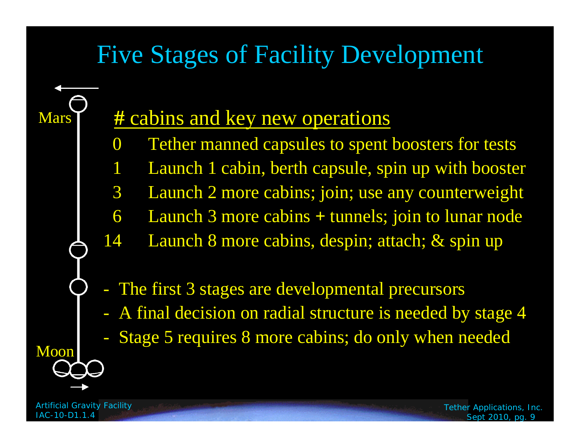## Five Stages of Facility Development

### **#** cabins and key new operations

- 0 Tether manned capsules to spent boosters for tests
- Launch 1 cabin, berth capsule, spin up with booster
- 3 Launch 2 more cabins; join; use any counterweight
- 6 Launch 3 more cabins **+** tunnels; join to lunar node
- 14 Launch 8 more cabins, despin; attach; & spin up
- The first 3 stages are developmental precursors
- A final decision on radial structure is needed by stage 4
- Stage 5 requires 8 more cabins; do only when needed

*Artificial Gravity Facility IAC-10-D1.1.4*

Moon

Mars<sup>1</sup>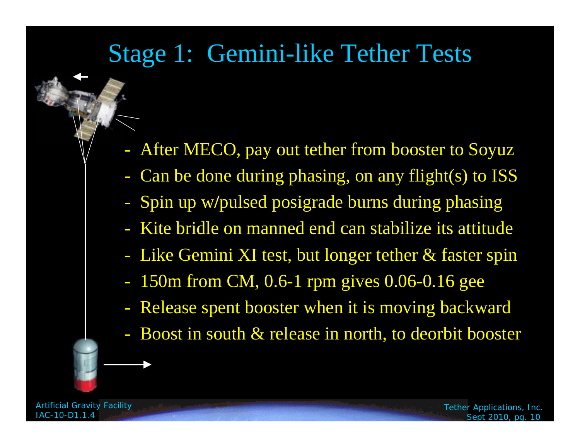### Stage 1: Gemini-like Tether Tests

- After MECO, pay out tether from booster to Soyuz
- Can be done during phasing, on any flight(s) to ISS
- Spin up w**/**pulsed posigrade burns during phasing
- Kite bridle on manned end can stabilize its attitude
- Like Gemini XI test, but longer tether & faster spin
- 150m from CM, 0.6-1 rpm gives 0.06-0.16 gee
- Release spent booster when it is moving backward
- Boost in south & release in north, to deorbit booster

*Artificial Gravity Facility IAC-10-D1.1.4*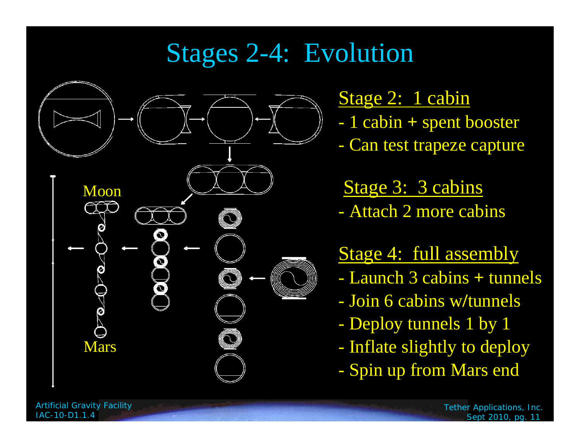# Stages 2-4: Evolution



Stage 2: 1 cabin

- 1 cabin **+** spent booster
- -Can test trapeze capture

Stage 3: 3 cabins - Attach 2 more cabins

#### Stage 4: full assembly

- Launch 3 cabins **+** tunnels
- Join 6 cabins w**/**tunnels
- -Deploy tunnels 1 by 1
- -Inflate slightly to deploy
- -Spin up from Mars end

*Artificial Gravity Facility IAC-10-D1.1.4*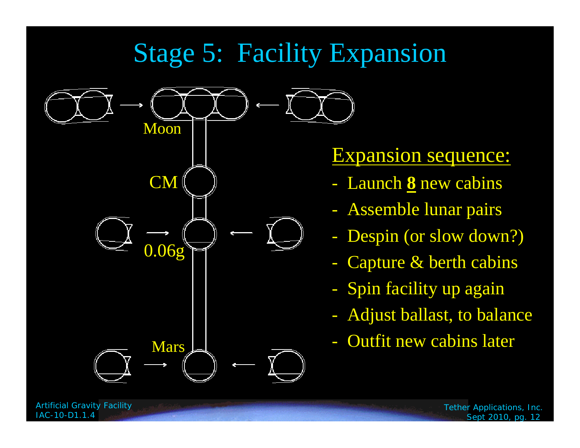# Stage 5: Facility Expansion



### Expansion sequence:

- Launch **8** new cabins
- Assemble lunar pairs
- Despin (or slow down?)
- Capture & berth cabins
- Spin facility up again
- Adjust ballast, to balance
- 

*Artificial Gravity Facility*

*IAC-10-D1.1.4*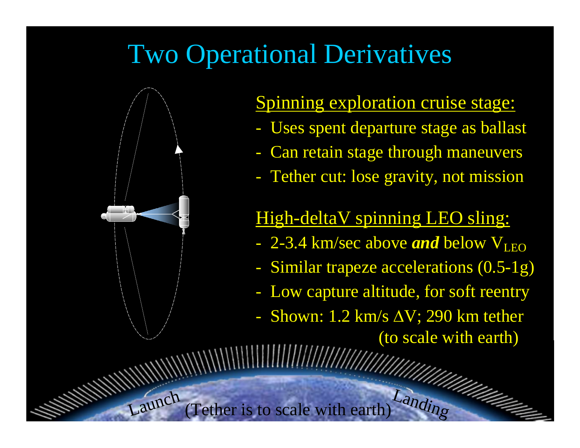# Two Operational Derivatives



*Artificial Gravity Facility*

*IAC-10-D1.1.4*

#### Spinning exploration cruise stage:

- Uses spent departure stage as ballast
- Can retain stage through maneuvers
- Tether cut: lose gravity, not mission

#### High-deltaV spinning LEO sling:

- 2-3.4 km/sec above *and* below V<sub>LEO</sub>
- Similar trapeze accelerations (0.5-1g)
- Low capture altitude, for soft reentry
- Shown: 1.2 km/s  $\Delta V$ ; 290 km tether (to scale with earth)

*Tether Applications, Inc. Sept 2010, pg. 13*

Laundre (Tether is to scale with earth)